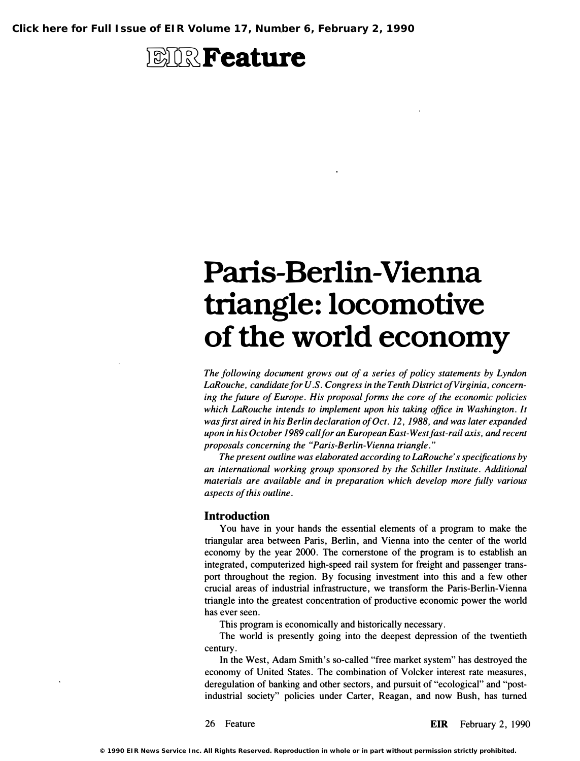# **EIR** Feature

# Paris-Berlin-Vienna triangle: locomotive of the world economy

The following document grows out of a series of policy statements by Lyndon LaRouche, candidate for U.S. Congress in the Tenth District of Virginia, concerning the future of Europe. His proposal forms the core of the economic policies which LaRouche intends to implement upon his taking office in Washington. It was first aired in his Berlin declaration of Oct. 12, 1988, and was later expanded upon in his October 1989 call for an European East-West fast-rail axis, and recent proposals concerning the "Paris-Berlin-Vienna triangle."

The present outline was elaborated according to LaRouche's specifications by an international working group sponsored by the Schiller Institute. Additional materials are available and in preparation which develop more fully various aspects of this outline.

#### Introduction

You have in your hands the essential elements of a program to make the triangular area between Paris, Berlin, and Vienna into the center of the world economy by the year 2000. The cornerstone of the program is to establish an integrated, computerized high-speed rail system for freight and passenger transport throughout the region. By focusing investment into this and a few other crucial areas of industrial infrastructure, we transform the Paris-Berlin-Vienna triangle into the greatest concentration of productive economic power the world has ever seen.

This program is economically and historically necessary.

The world is presently going into the deepest depression of the twentieth century.

In the West, Adam Smith's so-called "free market system" has destroyed the economy of United States. The combination of Volcker interest rate measures, deregulation of banking and other sectors, and pursuit of "ecological" and "postindustrial society" policies under Carter, Reagan, and now Bush, has turned

26 Feature **EIR** February 2, 1990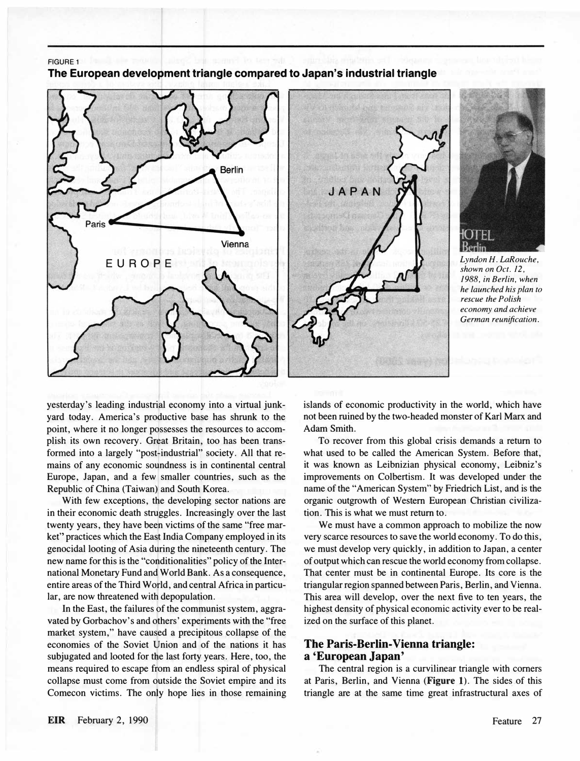

FIGURE 1 The European development triangle compared to Japan's industrial triangle



Lyndon H. LaRouche. shown on Oct. 12. 1988. in Berlin. when he launched his plan to rescue the Polish economy and achieve German reunification.

yesterday's leading industrial economy into a virtual junkyard today. America's productive base has shrunk to the point, where it no longer possesses the resources to accomplish its own recovery. Great Britain, too has been transformed into a largely "post-industrial" society. All that remains of any economic soundness is in continental central Europe, Japan, and a few smaller countries, such as the Republic of China (Taiwan) and South Korea.

With few exceptions, the developing sector nations are in their economic death struggles. Increasingly over the last twenty years, they have been victims of the same "free market" practices which the East India Company employed in its genocidal looting of Asia during the nineteenth century. The new name for this is the "conditionalities" policy of the International Monetary Fund and World Bank. As a consequence, entire areas of the Third World, and central Africa in particular, are now threatened with depopulation.

In the East, the failures of the communist system, aggravated by Gorbachov's and others' experiments with the "free market system," have caused a precipitous collapse of the economies of the Soviet Union and of the nations it has subjugated and looted for the last forty years. Here, too, the means required to escape from an endless spiral of physical collapse must come from outside the Soviet empire and its Comecon victims. The only hope lies in those remaining islands of economic productivity in the world, which have not been ruined by the two-headed monster of Karl Marx and Adam Smith.

To recover from this global crisis demands a return to what used to be called the American System. Before that, it was known as Leibnizian physical economy, Leibniz's improvements on Colbertism. It was developed under the name of the "American System" by Friedrich List, and is the organic outgrowth of Western European Christian civilization. This is what we must return to.

We must have a common approach to mobilize the now very scarce resources to save the world economy. To do this, we must develop very quickly, in addition to Japan, a center of output which can rescue the world economy from collapse. That center must be in continental Europe. Its core is the triangular region spanned between Paris, Berlin, and Vienna. This area will develop, over the next five to ten years, the highest density of physical economic activity ever to be realized on the surface of this planet.

#### The Paris-Berlin-Vienna triangle: a 'European Japan'

The central region is a curvilinear triangle with comers at Paris, Berlin, and Vienna (Figure 1). The sides of this triangle are at the same time great infrastructural axes of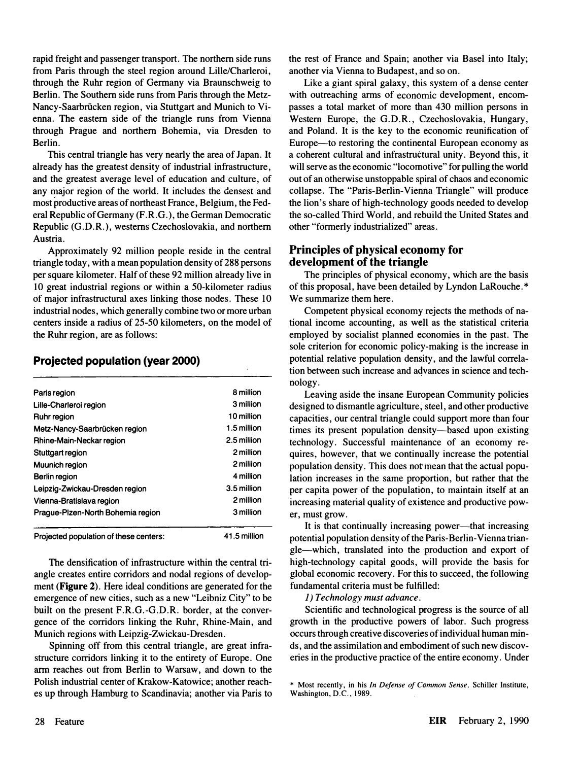rapid freight and passenger transport. The northern side runs from Paris through the steel region around Lille/Charleroi, through the Ruhr region of Germany via Braunschweig to Berlin. The Southern side runs from Paris through the Metz-Nancy-Saarbriicken region, via Stuttgart and Munich to Vienna. The eastern side of the triangle runs from Vienna through Prague and northern Bohemia, via Dresden to Berlin.

This central triangle has very nearly the area of Japan. It already has the greatest density of industrial infrastructure, and the greatest average level of education and culture, of any major region of the world. It includes the densest and most productive areas of northeast France, Belgium, the Federal Republic of Germany (F.R.G.), the German Democratic Republic (G.D.R.), westerns Czechoslovakia, and northern Austria.

Approximately 92 million people reside in the central triangle today, with a mean population density of 288 persons per square kilometer. Half of these 92 million already live in 10 great industrial regions or within a 50-kilometer radius of major infrastructural axes linking those nodes. These 10 industrial nodes, which generally combine two or more urban centers inside a radius of 25-50 kilometers, on the model of the Ruhr region, are as follows:

#### Projected population (year 2000)

| Paris region<br>Lille-Charleroi region<br>Ruhr region<br>Metz-Nancy-Saarbrücken region<br>Rhine-Main-Neckar region<br>Stuttgart region<br>Muunich region<br>Berlin region<br>Leipzig-Zwickau-Dresden region<br>Vienna-Bratislava region<br>Prague-Pizen-North Bohemia region | 8 million<br>3 million<br>10 million<br>1.5 million<br>2.5 million<br>2 million<br>2 million<br>4 million<br>3.5 million<br>2 million<br>3 million |                                        |              |
|------------------------------------------------------------------------------------------------------------------------------------------------------------------------------------------------------------------------------------------------------------------------------|----------------------------------------------------------------------------------------------------------------------------------------------------|----------------------------------------|--------------|
|                                                                                                                                                                                                                                                                              |                                                                                                                                                    | Projected population of these centers: | 41.5 million |

The densification of infrastructure within the central triangle creates entire corridors and nodal regions of development (Figure 2). Here ideal conditions are generated for the emergence of new cities, such as a new "Leibniz City" to be built on the present F.R.G.-G.D.R. border, at the convergence of the corridors linking the Ruhr, Rhine-Main, and Munich regions with Leipzig-Zwickau-Dresden.

Spinning off from this central triangle, are great infrastructure corridors linking it to the entirety of Europe. One arm reaches out from Berlin to Warsaw, and down to the Polish industrial center of Krakow-Katowice; another reaches up through Hamburg to Scandinavia; another via Paris to the rest of France and Spain; another via Basel into Italy; another via Vienna to Budapest, and so on.

Like a giant spiral galaxy, this system of a dense center with outreaching arms of economic development, encompasses a total market of more than 430 million persons in Western Europe, the G.D.R., Czechoslovakia, Hungary, and Poland. It is the key to the economic reunification of Europe—to restoring the continental European economy as a coherent cultural and infrastructural unity. Beyond this, it will serve as the economic "locomotive" for pulling the world out of an otherwise unstoppable spiral of chaos and economic collapse. The "Paris-Berlin-Vienna Triangle" will produce the lion's share of high-technology goods needed to develop the so-called Third World, and rebuild the United States and other "formerly industrialized" ateas.

#### Principles of physical economy for development of the triangle

The principles of physical economy, which are the basis of this proposal, have been detailed by Lyndon LaRouche. \* We summarize them here.

Competent physical economy rejects the methods of national income accounting, as well as the statistical criteria employed by socialist planned economies in the past. The sole criterion for economic policy-making is the increase in potential relative population density, and the lawful correlation between such increase and advances in science and technology.

Leaving aside the insane European Community policies designed to dismantle agriculture; steel, and other productive capacities, our central triangle could support more than four times its present population density—based upon existing technology. Successful maintenance of an economy requires, however, that we continually increase the potential population density. This does not mean that the actual population increases in the same proportion, but rather that the per capita power of the population, to maintain itself at an increasing material quality of existence and productive power, must grow.

It is that continually increasing power—that increasing potential population density of the Paris-Berlin-Vienna triangle-which, translated into the production and export of high-technology capital goods, will provide the basis for global economic recovery. For this to succeed, the following fundamental criteria must be fulfilled:

1) Technology must advance.

Scientific and technological progress is the source of all growth in the productive powers of labor. Such progress occurs through creative discoveries of individual human minds, and the assimilation and embodiment of such new discoveries in the productive practice of the entire economy. Under

\* Most recently, in his In Defense of Common Sense, Schiller Institute, Washington, D.C., 1989.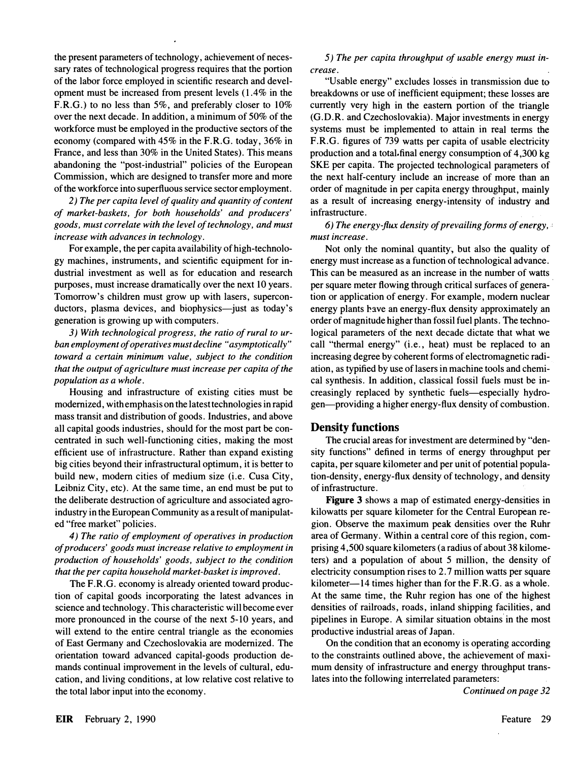the present parameters of technology, achievement of necessary rates of technological progress requires that the portion of the labor force employed in scientific research and development must be increased from present levels (1.4% in the F.R.G.) to no less than 5%, and preferably closer to 10% over the next decade. In addition, a minimum of 50% of the workforce must be employed in the productive sectors of the economy (compared with 45% in the F.R.G. today, 36% in France, and less than 30% in the United States). This means abandoning the "post-industrial" policies of the European Commission, which are designed to transfer more and more of the workforce into superfluous service sector employment.

2) The per capita level of quality and quantity of content of market-baskets, for both households' and producers' goods, must correlate with the level of technology, and must increase with advances in technology.

For example, the per capita availability of high-technology machines, instruments, and scientific equipment for industrial investment as well as for education and research purposes, must increase dramatically over the next 10 years. Tomorrow's children must grow up with lasers, superconductors, plasma devices, and biophysics—just as today's generation is growing up with computers.

3) With technological progress, the ratio of rural to urban employment of operatives must decline "asymptotically" toward a certain minimum value, subject to the condition that the output of agriculture must increase per capita of the population as a whole.

Housing and infrastructure of existing cities must be modernized, with emphasis on the latest technologies in rapid mass transit and distribution of goods. Industries, and above all capital goods industries, should for the most part be concentrated in such well-functioning cities, making the most efficient use of infrastructure. Rather than expand existing big cities beyond their infrastructural optimum, it is better to build new, modem cities of medium size (i.e. Cusa City, Leibniz City, etc). At the same time, an end must be put to the deliberate destruction of agriculture and associated agroindustry in the European Community as a result of manipulated "free market" policies.

4) The ratio of employment of operatives in production of producers' goods must increase relative to employment in production of households' goods, subject to the condition that the per capita household market-basket is improved.

The F.R.G. economy is already oriented toward production of capital goods incorporating the latest advances in science and technology. This characteristic will become ever more pronounced in the course of the next 5-10 years, and will extend to the entire central triangle as the economies of East Germany and Czechoslovakia are modernized. The orientation toward advanced capital-goods production demands continual improvement in the levels of cultural, education, and living conditions, at low relative cost relative to the total labor input into the economy.

#### 5) The per capita throughput of usable energy must increase.

"Usable energy" excludes losses in transmission due to breakdowns or use of inefficient equipment; these losses are currently very high in the eastern portion of the triangle (G.D.R. and Czechoslovakia). Major investments in energy systems must be implemented to attain in real terms the F.R.G. figures of 739 watts per capita of usable electricity production and a total. final energy consumption of 4,300 kg SKE per capita. The projected technological parameters of the next half-century include an increase of more than an order of magnitude in per capita energy throughput, mainly as a result of increasing energy-intensity of industry and infrastructure.

6) The energy-flux density of prevailing forms of energy, must increase.

Not only the nominal quantity, but also the quality of energy must increase as a function of technological advance. This can be measured as an increase in the number of watts per square meter flowing through critical surfaces of generation or application of energy. For example, modem nuclear energy plants have an energy-flux density approximately an order of magnitude higher than fossil fuel plants. The technological parameters of the next decade dictate that what we call "thermal energy" (i.e., heat) must be replaced to an increasing degree by'coherent forms of electromagnetic radiation, as typified by use of lasers in machine tools and chemical synthesis. In addition, classical fossil fuels must be increasingly replaced by synthetic fuels-especially hydrogen-providing a higher energy-flux density of combustion.

#### Density functions

The crucial areas for investment are determined by "density functions" defined in terms of energy throughput per capita, per square kilometer and per unit of potential population-density, energy-flux density of technology, and density of infrastructure.

Figure 3 shows a map of estimated energy-densities in kilowatts per square kilometer for the Central European region. Observe the maximum peak densities over the Ruhr area of Germany. Within a central core of this region, comprising 4,500 square kilometers (a radius of about 38 kilometers) and a population of about 5 million, the density of electricity consumption rises to 2.7 million watts per square kilometer-14 times higher than for the F.R.G. as a whole. At the same time, the Ruhr region has one of the highest densities of railroads, roads, inland shipping facilities, and pipelines in Europe. A similar situation obtains in the most productive industrial areas of Japan.

On the condition that an economy is operating according to the constraints outlined above, the achievement of maximum density of infrastructure and energy throughput translates into the following interrelated parameters:

Continued on page 32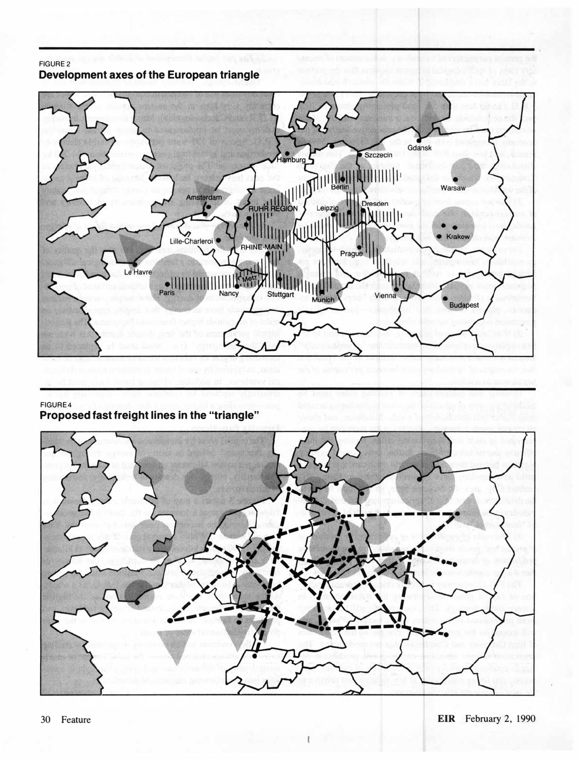#### FIGURE 2 Development axes of the European triangle



#### FIGURE4

# Proposed fast freight lines in the "triangle"

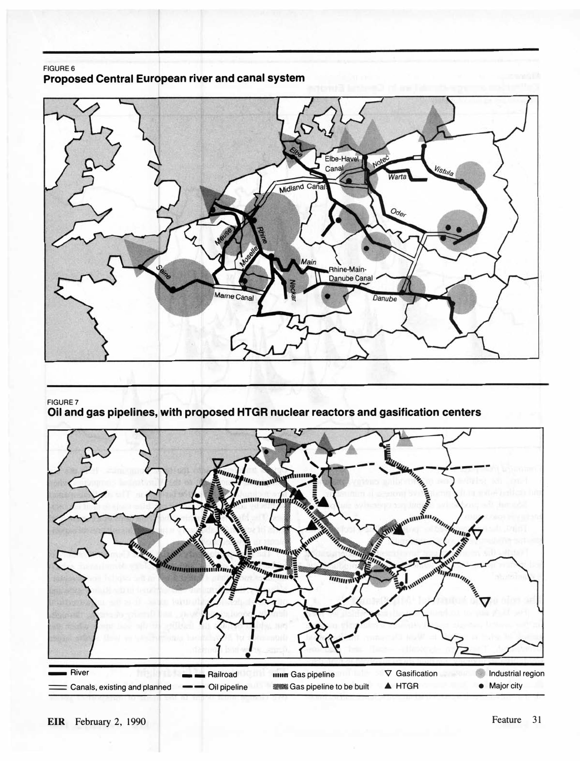



#### FIGURE 7

Oil and gas pipelines, with proposed HTGR nuclear reactors and gasification centers

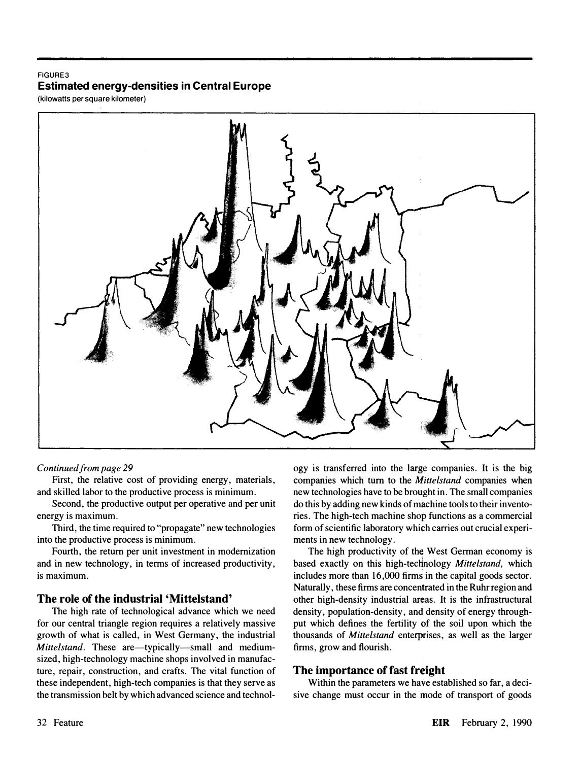# FIGURE3 Estimated energy-densities in Central Europe

(kilowatts per square kilometer)



#### Continued from page 29

First, the relative cost of providing energy, materials, and skilled labor to the productive process is minimum.

Second, the productive output per operative and per unit energy is maximum.

Third, the time required to "propagate" new technologies into the productive process is minimum.

Fourth, the return per unit investment in modernization and in new technology, in terms of increased productivity, is maximum.

#### The role of the industrial 'Mittelstand'

The high rate of technological advance which we need for our central triangle region requires a relatively massive growth of what is called, in West Germany, the industrial Mittelstand. These are-typically-small and mediumsized, high-technology machine shops involved in manufacture, repair, construction, and crafts. The vital function of these independent, high-tech companies is that they serve as the transmission belt by which advanced science and technology is transferred into the large companies. It is the big companies which tum to the Mittelstand companies when new technologies have to be bro�ght in. The small companies do this by adding new kinds of machine tools to their inventories. The high-tech machine shop functions as a commercial form of scientific laboratory which carries out crucial experiments in new technology.

The high productivity of the West German economy is based exactly on this high-technology Mittelstand, which includes more than 16,000 firms in the capital goods sector. Naturally, these firms are concentrated in the Ruhr region and other high-density industrial areas. It is the infrastructural density, population-density, and density of energy throughput which defines the fertility of the soil upon which the thousands of Mittelstand enterprises, as well as the larger firms, grow and flourish.

## The importance of fast freight

Within the parameters we have established so far, a decisive change must occur in the mode of transport of goods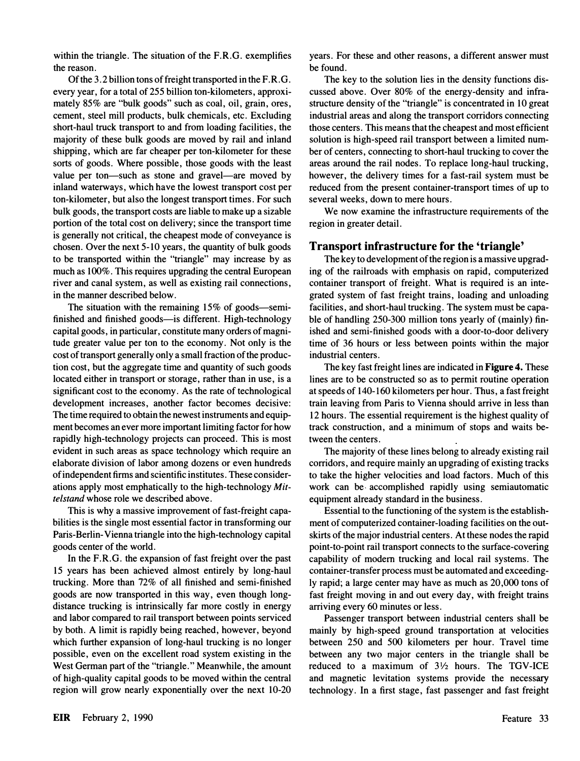within the triangle. The situation of the F.R.G. exemplifies the reason.

Of the 3. 2 billion tons of freight transported in the F .R.G. every year, for a total of 255 billion ton-kilometers, approximately 85% are "bulk goods" such as coal, oil, grain, ores, cement, steel mill products, bulk chemicals, etc. Excluding short-haul truck transport to and from loading facilities, the majority of these bulk goods are moved by rail and inland shipping, which are far cheaper per ton-kilometer for these sorts of goods. Where possible, those goods with the least value per ton—such as stone and gravel—are moved by inland waterways, which have the lowest transport cost per ton-kilometer, but also the longest transport times. For such bulk goods, the transport costs are liable to make up a sizable portion of the total cost on delivery; since the transport time is generally not critical, the cheapest mode of conveyance is chosen. Over the next 5-10 years, the quantity of bulk goods to be transported within the "triangle" may increase by as much as 100%. This requires upgrading the central European river and canal system, as well as existing rail connections, in the manner described below.

The situation with the remaining  $15\%$  of goods—semifinished and finished goods-is different. High-technology capital goods, in particular, constitute many orders of magnitude greater value per ton to the economy. Not only is the cost of transport generally only a small fraction of the production cost, but the aggregate time and quantity of such goods located either in transport or storage, rather than in use, is a significant cost to the economy. As the rate of technological development increases, another factor becomes decisive: The time required to obtain the newest instruments and equipment becomes an ever more important limiting factor for how rapidly high-technology projects can proceed. This is most evident in such areas as space technology which require an elaborate division of labor among dozens or even hundreds of independent firms and scientific institutes. These considerations apply most emphatically to the high-technology Mittelstand whose role we described above.

This is why a massive improvement of fast-freight capabilities is the single most essential factor in transforming our Paris-Berlin-Vienna triangle into the high-technology capital goods center of the world.

In the F.R.G. the expansion of fast freight over the past 15 years has been achieved almost entirely by long-haul trucking. More than 72% of all finished and semi-finished goods are now transported in this way, even though longdistance trucking is intrinsically far more costly in energy and labor compared to rail transport between points serviced by both. A limit is rapidly being reached, however, beyond which further expansion of long-haul trucking is no longer possible, even on the excellent road system existing in the West German part of the "triangle." Meanwhile, the amount of high-quality capital goods to be moved within the central region will grow nearly exponentially over the next 10-20 years. For these and other reasons, a different answer must be found.

The key to the solution lies in the density functions discussed above. Over 80% of the energy-density and infrastructure density of the "triangle" is concentrated in 10 great industrial areas and along the transport corridors connecting those centers. This means that the cheapest and most efficient solution is high-speed rail transport between a limited number of centers, connecting to short-haul trucking to cover the areas around the rail nodes. To replace long-haul trucking, however, the delivery times for a fast-rail system must be reduced from the present container-transport times of up to several weeks, down to mere hours.

We now examine the infrastructure requirements of the region in greater detail.

#### Transport infrastructure for the 'triangle'

The key to development of the region is a massive upgrading of the railroads with emphasis on rapid, computerized container transport of freight. What is required is an integrated system of fast freight trains, loading and unloading facilities, and short-haul trucking. The system must be capable of handling 250-300 million tons yearly of (mainly) finished and semi-finished goods with a door-to-door delivery time of 36 hours or less between points within the major industrial centers.

The key fast freight lines are indicated in **Figure 4.** These lines are to be constructed so as to permit routine operation at speeds of 140-160 kilometers per hour. Thus, a fast freight train leaving from Paris to Vienna should arrive in less than 12 hours. The essential requirement is the highest quality of track construction, and a minimum of stops and waits between the centers.

The majority of these lines belong to already existing rail corridors, and require mainly an upgrading of existing tracks to take the higher velocities and load factors. Much of this work can be· accomplished rapidly using semiautomatic equipment already standard in the business.

. Essential to the functioning of the system is the establishment of computerized container-loading facilities on the outskirts of the major industrial centers. At these nodes the rapid point-to-point rail transport connects to the surface-covering capability of modem trucking and local rail systems. The container-transfer process must be automated and exceedingly rapid; a large center may have as much as 20,000 tons of fast freight moving in and out every day, with freight trains arriving every 60 minutes or less.

Passenger transport between industrial centers shall be mainly by high-speed ground transportation at velocities between 250 and 500 kilometers per hour. Travel time between any two major centers in the triangle shall be reduced to a maximum of  $3\frac{1}{2}$  hours. The TGV-ICE and magnetic levitation systems provide the necessary technology. In a first stage, fast passenger and fast freight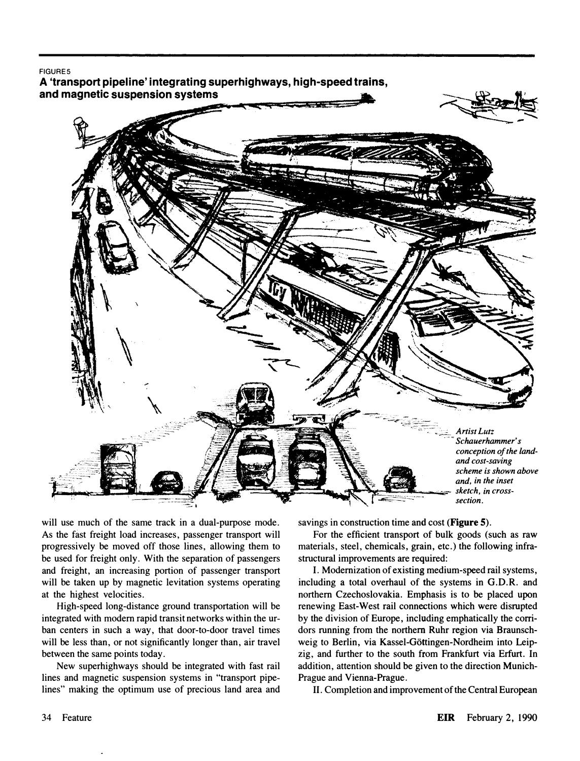#### FIGURES

A 'transport pipeline' integrating superhighways, high-speed trains,<br>and magnetic suspension systems



will use much of the same track in a dual-purpose mode. As the fast freight load increases, passenger transport will progressively be moved off those lines, allowing them to be used for freight only. With the separation of passengers and freight, an increasing portion of passenger transport will be taken up by magnetic levitation systems operating at the highest velocities.

High-speed long-distance ground transportation will be integrated with modem rapid transit networks within the urban centers in such a way, that door-to-door travel times will be less than, or not significantly longer than, air travel between the same points today.

New superhighways should be integrated with fast rail lines and magnetic suspension systems in "transport pipelines" making the optimum use of precious land area and

savings in construction time and cost (**Figure 5**).

For the efficient transport of bulk goods (such as raw materials, steel, chemicals, grain, etc.) the following infrastructural improvements are required:

I. Modernization of existing medium-speed rail systems, including a total overhaul of the systems in G.D.R. and northern Czechoslovakia. Emphasis is to be placed upon renewing East-West rail connections which were disrupted by the division of Europe, including emphatically the corridors running from the northern Ruhr region via Braunschweig to Berlin, via Kassel-Gottingen-Nordheim into Leipzig, and further to the south from Frankfurt via Erfurt. In addition, attention should be given to the direction Munich-Prague and Vienna-Prague.

II. Completion and improvement of the Central European